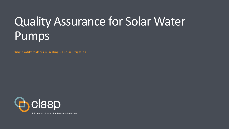# Quality Assurance for Solar Water Pumps

**Why quality matters in scaling up solar irrigation**

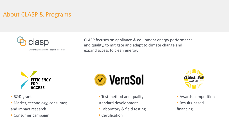### About CLASP & Programs



Efficient Appliances for People & the Planet

CLASP focuses on appliance & equipment energy performance and quality, to mitigate and adapt to climate change and expand access to clean energy**.**



- R&D grants
- **E** Market, technology, consumer, and impact research
- **Consumer campaign**



- **Test method and quality** standard development
- **Example 2** Laboratory & field testing
- **Certification**



- **E** Awards competitions
- Results-based

financing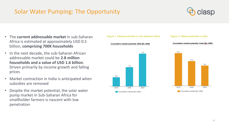### Solar Water Pumping: The Opportunity



 $9.4$ 

- The **current addressable market** in sub-Saharan Africa is estimated at approximately USD 0.5 billion, **comprising 700K households**
- In the next decade, the sub-Saharan African addressable market could be **2.8 million households and a value of USD 1.6 billion**. Driven primarily by income growth and falling prices
- Market contraction in India is anticipated when subsidies are removed
- Despite the market potential, the solar water pump market in Sub-Saharan Africa for smallholder farmers is nascent with low penetration



0.5

2018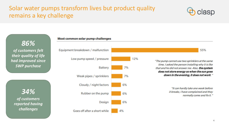### Solar water pumps transform lives but product quality remains a key challenge



55%

*86% of customers felt their quality of life had improved since SWP purchase*

*34% of customers reported having challenges*



Equipment breakdown / malfunction Low pump speed / pressure 7% **Battery** 7% Weak pipes / sprinklers Cloudy / night factors 6% Rubber on the pump 6% 6% Design Goes off after a short while 4%

12%

"The pump cannot use two sprinklers at the same time, I asked the person installing why it is like that and he did not answer me. Also, the system does not store energy so when the sun goes down in the evening, it does not work."

> "It can hardly take one week before it breaks, I have complained and they normally come and fix it."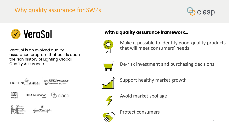### Why quality assurance for SWPs





VeraSol is an evolved quality assurance program that builds upon the rich history of Lighting Global Quality Assurance.



### **With a quality assurance framework…**



Make it possible to identify good-quality products that will meet consumers' needs



De-risk investment and purchasing decisions



Support healthy market growth



Avoid market spoilage



Protect consumers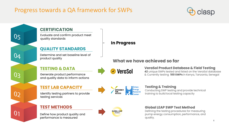### Progress towards a QA framework for SWPs



#### **CERTIFICATION**

05

 $0<sub>4</sub>$ 

03

 $0<sub>2</sub>$ 

 $0<sub>1</sub>$ 

Evaluate and confirm product meet quality standards

#### **QUALITY STANDARDS**

Determine and set baseline level of product quality

#### **TESTING & DATA**

Generate product performance and quality data to inform actions

#### **TEST LAB CAPACITY**

Identify testing partners to provide testing services

#### **TEST METHODS**

Define how product quality and performance is measured





### **GLOBAL LEAP** AWARDS

#### **In Progress**

### **What we have achieved so far**

**VeraSol** 

#### **VeraSol Product Database & Field Testing**

**42** unique SWPs tested and listed on the VeraSol database & Currently testing **100 SWPs** in Kenya, Tanzania, Senegal

#### **Testing & Training** Conducting SWP testing and provide technical training to build local testing capacity

#### **Global LEAP SWP Test Method**

Defining the testing procedures for measuring pump energy consumption, performance, and quality.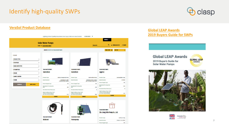### Identify high-quality SWPs



#### **[VeraSol Product Database](https://data.verasol.org/)**



#### **[Global LEAP Awards](https://storage.googleapis.com/e4a-website-assets/2019-Global-LEAP-SWP-Buyers-Guide_final.pdf) [2019 Buyers Guide for SWPs](https://storage.googleapis.com/e4a-website-assets/2019-Global-LEAP-SWP-Buyers-Guide_final.pdf)**







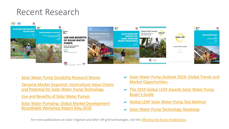## Recent Research



- [Solar Water Pump Durability Research Memo](https://efficiencyforaccess.org/publications/solar-water-pump-durability-research-memo)
- [Tanzania Market Snapshot: Horticulture Value Chains](https://efficiencyforaccess.org/publications/tanzania-market-snapshot-horticulture-value-chains-and-potential-for-solar-water-pump-technology)  and Potential for Solar Water Pump Technology
- [Use and Benefits of Solar Water Pumps](https://efficiencyforaccess.org/publications/use-and-benefits-of-solar-water-pumps)
- [Solar Water Pumping: Global Market Development](https://efficiencyforaccess.org/publications/solar-water-pumping-global-market-development-roundtable-workshop-report-may-2018) Roundtable Workshop Report May 2018
- [Solar Water Pump Outlook 2019: Global Trends and](https://efficiencyforaccess.org/publications/solar-water-pump-outlook-2019-global-trends-and-market-opportunities)  Market Opportunities
- [The 2019 Global LEAP Awards Solar Water Pump](https://efficiencyforaccess.org/publications/2019-global-leap-awards-buyers-guide-for-solar-water-pumps)  Buyer's Guide
- [Global LEAP Solar Water Pump Test Method](https://efficiencyforaccess.org/publications/global-leap-solar-water-pump-test-method)
- [Solar Water Pump Technology Roadmap](https://efficiencyforaccess.org/publications/solar-water-pump-technology-roadmap)

For more publications on solar irrigation and other off-grid technologies, visit the [Efficiency for Access Publications](https://efficiencyforaccess.org/publications/using-technology-to-build-affordable-business-intelligence-for-the-solar-water-pump-market)